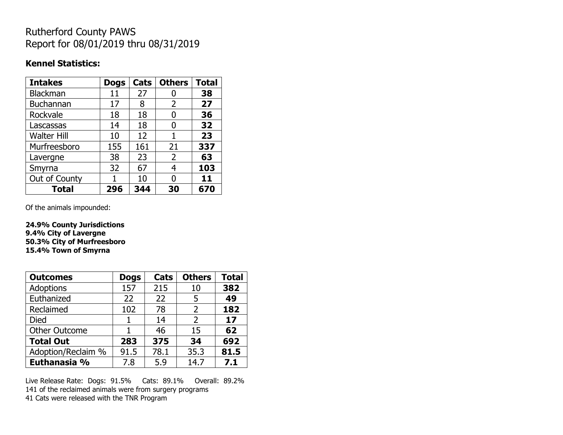## Rutherford County PAWS Report for 08/01/2019 thru 08/31/2019

#### **Kennel Statistics:**

| <b>Intakes</b>     | <b>Dogs</b> | Cats | <b>Others</b>  | <b>Total</b> |
|--------------------|-------------|------|----------------|--------------|
| <b>Blackman</b>    | 11          | 27   | 0              | 38           |
| <b>Buchannan</b>   | 17          | 8    | 2              | 27           |
| Rockvale           | 18          | 18   | O              | 36           |
| Lascassas          | 14          | 18   | 0              | 32           |
| <b>Walter Hill</b> | 10          | 12   | 1              | 23           |
| Murfreesboro       | 155         | 161  | 21             | 337          |
| Lavergne           | 38          | 23   | $\overline{2}$ | 63           |
| Smyrna             | 32          | 67   | 4              | 103          |
| Out of County      |             | 10   | O              | 11           |
| <b>Total</b>       | 296         | 344  | 30             | 670          |

Of the animals impounded:

**24.9% County Jurisdictions 9.4% City of Lavergne 50.3% City of Murfreesboro 15.4% Town of Smyrna**

| <b>Outcomes</b>      | <b>Dogs</b> | Cats | <b>Others</b>  | <b>Total</b> |
|----------------------|-------------|------|----------------|--------------|
| <b>Adoptions</b>     | 157         | 215  | 10             | 382          |
| Euthanized           | 22          | 22   | 5              | 49           |
| Reclaimed            | 102         | 78   | 2              | 182          |
| <b>Died</b>          |             | 14   | $\overline{2}$ | 17           |
| <b>Other Outcome</b> |             | 46   | 15             | 62           |
| <b>Total Out</b>     | 283         | 375  | 34             | 692          |
| Adoption/Reclaim %   | 91.5        | 78.1 | 35.3           | 81.5         |
| Euthanasia %         | 7.8         | 5.9  | 14.7           | 7.1          |

Live Release Rate: Dogs: 91.5% Cats: 89.1% Overall: 89.2% 141 of the reclaimed animals were from surgery programs 41 Cats were released with the TNR Program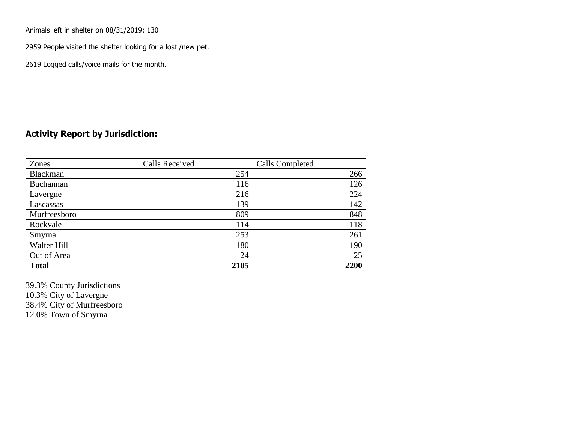Animals left in shelter on 08/31/2019: 130

2959 People visited the shelter looking for a lost /new pet.

2619 Logged calls/voice mails for the month.

### **Activity Report by Jurisdiction:**

| Zones           | <b>Calls Received</b> | Calls Completed |
|-----------------|-----------------------|-----------------|
| <b>Blackman</b> | 254                   | 266             |
| Buchannan       | 116                   | 126             |
| Lavergne        | 216                   | 224             |
| Lascassas       | 139                   | 142             |
| Murfreesboro    | 809                   | 848             |
| Rockvale        | 114                   | 118             |
| Smyrna          | 253                   | 261             |
| Walter Hill     | 180                   | 190             |
| Out of Area     | 24                    | 25              |
| <b>Total</b>    | 2105                  | 2200            |

39.3% County Jurisdictions 10.3% City of Lavergne 38.4% City of Murfreesboro 12.0% Town of Smyrna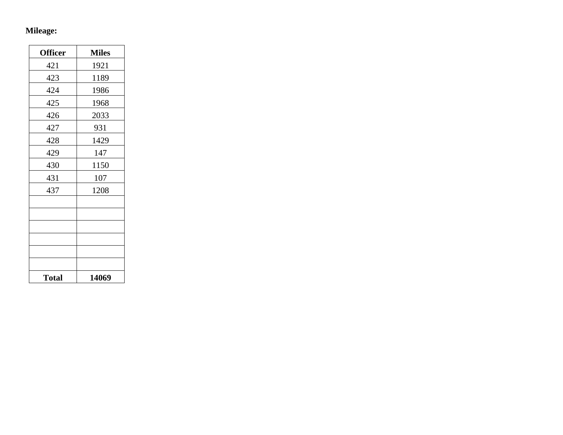# **Mileage:**

| <b>Officer</b> | <b>Miles</b> |
|----------------|--------------|
| 421            | 1921         |
| 423            | 1189         |
| 424            | 1986         |
| 425            | 1968         |
| 426            | 2033         |
| 427            | 931          |
| 428            | 1429         |
| 429            | 147          |
| 430            | 1150         |
| 431            | 107          |
| 437            | 1208         |
|                |              |
|                |              |
|                |              |
|                |              |
|                |              |
|                |              |
| <b>Total</b>   | 14069        |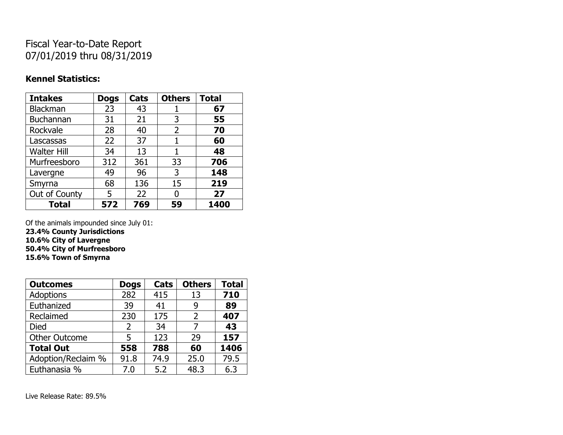## Fiscal Year-to-Date Report 07/01/2019 thru 08/31/2019

### **Kennel Statistics:**

| <b>Intakes</b>     | <b>Dogs</b> | Cats | <b>Others</b> | <b>Total</b> |
|--------------------|-------------|------|---------------|--------------|
| Blackman           | 23          | 43   |               | 67           |
| <b>Buchannan</b>   | 31          | 21   | 3             | 55           |
| Rockvale           | 28          | 40   | 2             | 70           |
| Lascassas          | 22          | 37   | 1             | 60           |
| <b>Walter Hill</b> | 34          | 13   | 1             | 48           |
| Murfreesboro       | 312         | 361  | 33            | 706          |
| Lavergne           | 49          | 96   | 3             | 148          |
| Smyrna             | 68          | 136  | 15            | 219          |
| Out of County      | 5           | 22   | 0             | 27           |
| <b>Total</b>       | 572         | 769  | 59            | 1400         |

Of the animals impounded since July 01:

**23.4% County Jurisdictions**

**10.6% City of Lavergne 50.4% City of Murfreesboro**

**15.6% Town of Smyrna**

| <b>Outcomes</b>      | <b>Dogs</b>    | Cats | <b>Others</b> | <b>Total</b> |
|----------------------|----------------|------|---------------|--------------|
| <b>Adoptions</b>     | 282            | 415  | 13            | 710          |
| Euthanized           | 39             | 41   | 9             | 89           |
| Reclaimed            | 230            | 175  | 2             | 407          |
| <b>Died</b>          | $\overline{2}$ | 34   | 7             | 43           |
| <b>Other Outcome</b> | 5              | 123  | 29            | 157          |
| <b>Total Out</b>     | 558            | 788  | 60            | 1406         |
| Adoption/Reclaim %   | 91.8           | 74.9 | 25.0          | 79.5         |
| Euthanasia %         | 7.0            | 5.2  | 48.3          | 6.3          |

Live Release Rate: 89.5%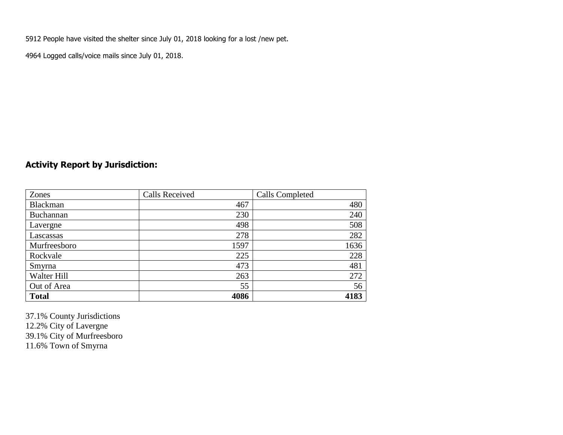5912 People have visited the shelter since July 01, 2018 looking for a lost /new pet.

4964 Logged calls/voice mails since July 01, 2018.

### **Activity Report by Jurisdiction:**

| Zones        | <b>Calls Received</b> | <b>Calls Completed</b> |
|--------------|-----------------------|------------------------|
| Blackman     | 467                   | 480                    |
| Buchannan    | 230                   | 240                    |
| Lavergne     | 498                   | 508                    |
| Lascassas    | 278                   | 282                    |
| Murfreesboro | 1597                  | 1636                   |
| Rockvale     | 225                   | 228                    |
| Smyrna       | 473                   | 481                    |
| Walter Hill  | 263                   | 272                    |
| Out of Area  | 55                    | 56                     |
| <b>Total</b> | 4086                  | 4183                   |

37.1% County Jurisdictions 12.2% City of Lavergne 39.1% City of Murfreesboro 11.6% Town of Smyrna